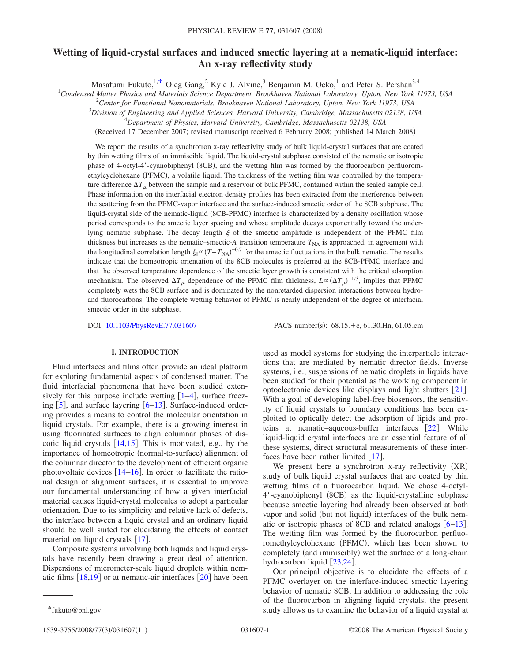# **Wetting of liquid-crystal surfaces and induced smectic layering at a nematic-liquid interface: An x-ray reflectivity study**

Masafumi Fukuto,<sup>1[,\\*](#page-0-0)</sup> Oleg Gang,<sup>2</sup> Kyle J. Alvine,<sup>3</sup> Benjamin M. Ocko,<sup>1</sup> and Peter S. Pershan<sup>3,4</sup>

1 *Condensed Matter Physics and Materials Science Department, Brookhaven National Laboratory, Upton, New York 11973, USA*

2 *Center for Functional Nanomaterials, Brookhaven National Laboratory, Upton, New York 11973, USA*

3 *Division of Engineering and Applied Sciences, Harvard University, Cambridge, Massachusetts 02138, USA*

4 *Department of Physics, Harvard University, Cambridge, Massachusetts 02138, USA*

(Received 17 December 2007; revised manuscript received 6 February 2008; published 14 March 2008)

We report the results of a synchrotron x-ray reflectivity study of bulk liquid-crystal surfaces that are coated by thin wetting films of an immiscible liquid. The liquid-crystal subphase consisted of the nematic or isotropic phase of 4-octyl-4'-cyanobiphenyl (8CB), and the wetting film was formed by the fluorocarbon perfluoromethylcyclohexane (PFMC), a volatile liquid. The thickness of the wetting film was controlled by the temperature difference  $\Delta T_{\mu}$  between the sample and a reservoir of bulk PFMC, contained within the sealed sample cell. Phase information on the interfacial electron density profiles has been extracted from the interference between the scattering from the PFMC-vapor interface and the surface-induced smectic order of the 8CB subphase. The liquid-crystal side of the nematic-liquid (8CB-PFMC) interface is characterized by a density oscillation whose period corresponds to the smectic layer spacing and whose amplitude decays exponentially toward the underlying nematic subphase. The decay length  $\xi$  of the smectic amplitude is independent of the PFMC film thickness but increases as the nematic–smectic- $A$  transition temperature  $T_{NA}$  is approached, in agreement with the longitudinal correlation length  $\xi_{\parallel} \propto (T - T_{NA})^{-0.7}$  for the smectic fluctuations in the bulk nematic. The results indicate that the homeotropic orientation of the 8CB molecules is preferred at the 8CB-PFMC interface and that the observed temperature dependence of the smectic layer growth is consistent with the critical adsorption mechanism. The observed  $\Delta T_{\mu}$  dependence of the PFMC film thickness,  $L \propto (\Delta T_{\mu})^{-1/3}$ , implies that PFMC completely wets the 8CB surface and is dominated by the nonretarded dispersion interactions between hydroand fluorocarbons. The complete wetting behavior of PFMC is nearly independent of the degree of interfacial smectic order in the subphase.

DOI: [10.1103/PhysRevE.77.031607](http://dx.doi.org/10.1103/PhysRevE.77.031607)

PACS number(s): 68.15.+e, 61.30.Hn, 61.05.cm

## **I. INTRODUCTION**

Fluid interfaces and films often provide an ideal platform for exploring fundamental aspects of condensed matter. The fluid interfacial phenomena that have been studied extensively for this purpose include wetting  $\lceil 1-4 \rceil$  $\lceil 1-4 \rceil$  $\lceil 1-4 \rceil$ , surface freezing  $\lceil 5 \rceil$  $\lceil 5 \rceil$  $\lceil 5 \rceil$ , and surface layering  $\lceil 6-13 \rceil$  $\lceil 6-13 \rceil$  $\lceil 6-13 \rceil$ . Surface-induced ordering provides a means to control the molecular orientation in liquid crystals. For example, there is a growing interest in using fluorinated surfaces to align columnar phases of discotic liquid crystals  $[14,15]$  $[14,15]$  $[14,15]$  $[14,15]$ . This is motivated, e.g., by the importance of homeotropic (normal-to-surface) alignment of the columnar director to the development of efficient organic photovoltaic devices  $[14–16]$  $[14–16]$  $[14–16]$  $[14–16]$ . In order to facilitate the rational design of alignment surfaces, it is essential to improve our fundamental understanding of how a given interfacial material causes liquid-crystal molecules to adopt a particular orientation. Due to its simplicity and relative lack of defects, the interface between a liquid crystal and an ordinary liquid should be well suited for elucidating the effects of contact material on liquid crystals  $\lceil 17 \rceil$  $\lceil 17 \rceil$  $\lceil 17 \rceil$ .

Composite systems involving both liquids and liquid crystals have recently been drawing a great deal of attention. Dispersions of micrometer-scale liquid droplets within nematic films  $[18,19]$  $[18,19]$  $[18,19]$  $[18,19]$  or at nematic-air interfaces  $[20]$  $[20]$  $[20]$  have been

We present here a synchrotron x-ray reflectivity (XR) study of bulk liquid crystal surfaces that are coated by thin wetting films of a fluorocarbon liquid. We chose 4-octyl-4'-cyanobiphenyl (8CB) as the liquid-crystalline subphase because smectic layering had already been observed at both vapor and solid (but not liquid) interfaces of the bulk nematic or isotropic phases of 8CB and related analogs  $[6-13]$  $[6-13]$  $[6-13]$ . The wetting film was formed by the fluorocarbon perfluoromethylcyclohexane (PFMC), which has been shown to completely (and immiscibly) wet the surface of a long-chain hydrocarbon liquid  $\left[23,24\right]$  $\left[23,24\right]$  $\left[23,24\right]$  $\left[23,24\right]$ .

Our principal objective is to elucidate the effects of a PFMC overlayer on the interface-induced smectic layering behavior of nematic 8CB. In addition to addressing the role of the fluorocarbon in aligning liquid crystals, the present \*fukuto@bnl.gov study allows us to examine the behavior of a liquid crystal at

used as model systems for studying the interparticle interactions that are mediated by nematic director fields. Inverse systems, i.e., suspensions of nematic droplets in liquids have been studied for their potential as the working component in optoelectronic devices like displays and light shutters  $[21]$  $[21]$  $[21]$ . With a goal of developing label-free biosensors, the sensitivity of liquid crystals to boundary conditions has been exploited to optically detect the adsorption of lipids and proteins at nematic–aqueous-buffer interfaces  $\lceil 22 \rceil$  $\lceil 22 \rceil$  $\lceil 22 \rceil$ . While liquid-liquid crystal interfaces are an essential feature of all these systems, direct structural measurements of these interfaces have been rather limited  $\lceil 17 \rceil$  $\lceil 17 \rceil$  $\lceil 17 \rceil$ .

<span id="page-0-0"></span>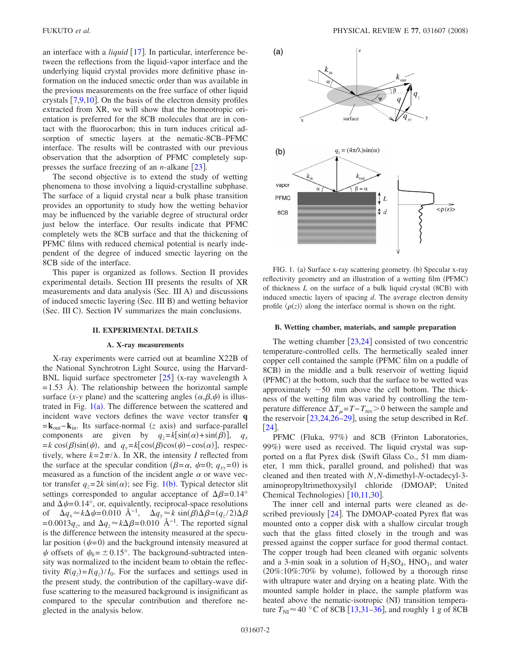an interface with a *liquid*  $\lceil 17 \rceil$  $\lceil 17 \rceil$  $\lceil 17 \rceil$ . In particular, interference between the reflections from the liquid-vapor interface and the underlying liquid crystal provides more definitive phase information on the induced smectic order than was available in the previous measurements on the free surface of other liquid crystals  $[7,9,10]$  $[7,9,10]$  $[7,9,10]$  $[7,9,10]$  $[7,9,10]$ . On the basis of the electron density profiles extracted from XR, we will show that the homeotropic orientation is preferred for the 8CB molecules that are in contact with the fluorocarbon; this in turn induces critical adsorption of smectic layers at the nematic-8CB–PFMC interface. The results will be contrasted with our previous observation that the adsorption of PFMC completely suppresses the surface freezing of an *n*-alkane  $\left[23\right]$  $\left[23\right]$  $\left[23\right]$ .

The second objective is to extend the study of wetting phenomena to those involving a liquid-crystalline subphase. The surface of a liquid crystal near a bulk phase transition provides an opportunity to study how the wetting behavior may be influenced by the variable degree of structural order just below the interface. Our results indicate that PFMC completely wets the 8CB surface and that the thickening of PFMC films with reduced chemical potential is nearly independent of the degree of induced smectic layering on the 8CB side of the interface.

This paper is organized as follows. Section II provides experimental details. Section III presents the results of XR measurements and data analysis (Sec. III A) and discussions of induced smectic layering (Sec. III B) and wetting behavior (Sec. III C). Section IV summarizes the main conclusions.

#### **II. EXPERIMENTAL DETAILS**

#### **A. X-ray measurements**

X-ray experiments were carried out at beamline X22B of the National Synchrotron Light Source, using the Harvard-BNL liquid surface spectrometer [[25](#page-9-19)] (x-ray wavelength  $\lambda$  $= 1.53$  Å). The relationship between the horizontal sample surface  $(x-y$  plane) and the scattering angles  $(\alpha, \beta, \psi)$  is illustrated in Fig.  $1(a)$  $1(a)$ . The difference between the scattered and incident wave vectors defines the wave vector transfer **q =k**<sub>out</sub>−**k**<sub>in</sub>. Its surface-normal (*z* axis) and surface-parallel components are given by  $q_z = k[\sin(\alpha) + \sin(\beta)], q_x$  $= k \cos(\beta) \sin(\psi)$ , and  $q_y = k[\cos(\beta) \cos(\psi) - \cos(\alpha)]$ , respectively, where  $k = 2\pi/\lambda$ . In XR, the intensity *I* reflected from the surface at the specular condition ( $\beta = \alpha$ ,  $\psi = 0$ ;  $q_{xy} = 0$ ) is measured as a function of the incident angle  $\alpha$  or wave vector transfer  $q_z = 2k \sin(\alpha)$ ; see Fig. [1](#page-1-0)(b). Typical detector slit settings corresponded to angular acceptance of  $\Delta \beta = 0.14^{\circ}$ and  $\Delta \psi$ = 0.14°, or, equivalently, reciprocal-space resolutions of  $\Delta q_x \approx k \Delta \psi = 0.010 \text{ Å}^{-1}$ ,  $\Delta q_y \approx k \sin(\beta) \Delta \beta = (q_z/2) \Delta \beta$  $= 0.0013q_z$ , and  $\Delta q_z \approx k\Delta\beta = 0.010 \text{ Å}^{-1}$ . The reported signal is the difference between the intensity measured at the specular position  $(\psi=0)$  and the background intensity measured at  $\psi$  offsets of  $\psi_b = \pm 0.15^\circ$ . The background-subtracted intensity was normalized to the incident beam to obtain the reflectivity  $R(q_z) = I(q_z)/I_0$ . For the surfaces and settings used in the present study, the contribution of the capillary-wave diffuse scattering to the measured background is insignificant as compared to the specular contribution and therefore neglected in the analysis below.

<span id="page-1-0"></span>

FIG. 1. (a) Surface x-ray scattering geometry. (b) Specular x-ray reflectivity geometry and an illustration of a wetting film (PFMC) of thickness  $L$  on the surface of a bulk liquid crystal  $(8CB)$  with induced smectic layers of spacing *d*. The average electron density profile  $\langle \rho(z) \rangle$  along the interface normal is shown on the right.

#### **B. Wetting chamber, materials, and sample preparation**

The wetting chamber  $[23,24]$  $[23,24]$  $[23,24]$  $[23,24]$  consisted of two concentric temperature-controlled cells. The hermetically sealed inner copper cell contained the sample (PFMC film on a puddle of 8CB) in the middle and a bulk reservoir of wetting liquid (PFMC) at the bottom, such that the surface to be wetted was approximately  $\sim$  50 mm above the cell bottom. The thickness of the wetting film was varied by controlling the temperature difference  $\Delta T_{\mu} = T - T_{\text{res}} > 0$  between the sample and the reservoir  $\left[23,24,26-29\right]$  $\left[23,24,26-29\right]$  $\left[23,24,26-29\right]$  $\left[23,24,26-29\right]$  $\left[23,24,26-29\right]$  $\left[23,24,26-29\right]$ , using the setup described in Ref.  $\lceil 24 \rceil$  $\lceil 24 \rceil$  $\lceil 24 \rceil$ .

PFMC (Fluka, 97%) and 8CB (Frinton Laboratories, 99%) were used as received. The liquid crystal was supported on a flat Pyrex disk (Swift Glass Co., 51 mm diameter, 1 mm thick, parallel ground, and polished) that was cleaned and then treated with *N*,*N*-dimethyl-*N*-octadecyl-3 aminopropyltrimethoxysilyl chloride DMOAP; United Chemical Technologies) [[10](#page-9-18)[,11](#page-9-22)[,30](#page-9-23)].

The inner cell and internal parts were cleaned as described previously  $[24]$  $[24]$  $[24]$ . The DMOAP-coated Pyrex flat was mounted onto a copper disk with a shallow circular trough such that the glass fitted closely in the trough and was pressed against the copper surface for good thermal contact. The copper trough had been cleaned with organic solvents and a 3-min soak in a solution of  $H_2SO_4$ ,  $HNO_3$ , and water  $(20\%:10\%:70\%$  by volume), followed by a thorough rinse with ultrapure water and drying on a heating plate. With the mounted sample holder in place, the sample platform was heated above the nematic-isotropic (NI) transition temperature  $T_{\text{NI}} \approx 40$  °C of 8CB [[13,](#page-9-4)[31–](#page-9-24)[36](#page-9-25)], and roughly 1 g of 8CB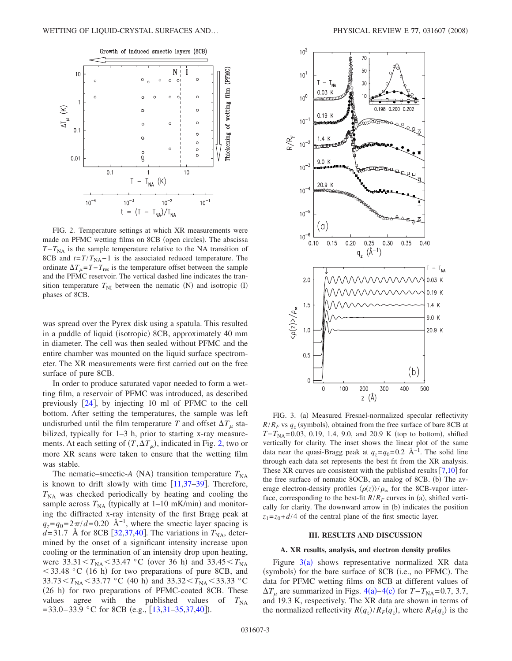<span id="page-2-0"></span>

FIG. 2. Temperature settings at which XR measurements were made on PFMC wetting films on 8CB (open circles). The abscissa  $T-T<sub>NA</sub>$  is the sample temperature relative to the NA transition of 8CB and  $t = T/T_{NA} - 1$  is the associated reduced temperature. The ordinate  $\Delta T_{\mu} = T - T_{\text{res}}$  is the temperature offset between the sample and the PFMC reservoir. The vertical dashed line indicates the transition temperature  $T_{\text{NI}}$  between the nematic (N) and isotropic (I) phases of 8CB.

was spread over the Pyrex disk using a spatula. This resulted in a puddle of liquid (isotropic) 8CB, approximately 40 mm in diameter. The cell was then sealed without PFMC and the entire chamber was mounted on the liquid surface spectrometer. The XR measurements were first carried out on the free surface of pure 8CB.

In order to produce saturated vapor needed to form a wetting film, a reservoir of PFMC was introduced, as described previously  $[24]$  $[24]$  $[24]$ , by injecting 10 ml of PFMC to the cell bottom. After setting the temperatures, the sample was left undisturbed until the film temperature T and offset  $\Delta T_{\mu}$  stabilized, typically for 1–3 h, prior to starting x-ray measurements. At each setting of  $(T, \Delta T_{\mu})$ , indicated in Fig. [2,](#page-2-0) two or more XR scans were taken to ensure that the wetting film was stable.

The nematic–smectic- $A$  (NA) transition temperature  $T_{NA}$ is known to drift slowly with time  $\lfloor 11,37-39 \rfloor$  $\lfloor 11,37-39 \rfloor$  $\lfloor 11,37-39 \rfloor$  $\lfloor 11,37-39 \rfloor$ . Therefore,  $T<sub>NA</sub>$  was checked periodically by heating and cooling the sample across  $T_{NA}$  (typically at  $1-10$  mK/min) and monitoring the diffracted x-ray intensity of the first Bragg peak at  $q_z = q_0 = 2\pi/d = 0.20$  Å<sup>-1</sup>, where the smectic layer spacing is  $d=31.7$  Å for 8CB [[32](#page-9-28)[,37](#page-9-26)[,40](#page-9-29)]. The variations in  $T_{NA}$ , determined by the onset of a significant intensity increase upon cooling or the termination of an intensity drop upon heating, were  $33.31 < T_{NA} < 33.47$  °C (over 36 h) and  $33.45 < T_{NA}$  $<$  33.48 °C (16 h) for two preparations of pure 8CB, and  $33.73 < T_{NA} < 33.77$  °C (40 h) and  $33.32 < T_{NA} < 33.33$  °C (26 h) for two preparations of PFMC-coated 8CB. These values agree with the published values of  $T_{NA}$  $= 33.0 - 33.9$  °C for 8CB (e.g., [[13](#page-9-4)[,31](#page-9-24)-35[,37](#page-9-26)[,40](#page-9-29)]).

<span id="page-2-1"></span>

FIG. 3. (a) Measured Fresnel-normalized specular reflectivity  $R/R_F$  vs  $q_z$  (symbols), obtained from the free surface of bare 8CB at *T*−*T*<sub>NA</sub>=0.03, 0.19, 1.4, 9.0, and 20.9 K (top to bottom), shifted vertically for clarity. The inset shows the linear plot of the same data near the quasi-Bragg peak at  $q_z = q_0 = 0.2 \text{ Å}^{-1}$ . The solid line through each data set represents the best fit from the XR analysis. These XR curves are consistent with the published results  $[7,10]$  $[7,10]$  $[7,10]$  $[7,10]$  for the free surface of nematic 8OCB, an analog of 8CB. (b) The average electron-density profiles  $\langle \rho(z) \rangle / \rho_{\infty}$  for the 8CB-vapor interface, corresponding to the best-fit  $R/R_F$  curves in (a), shifted vertically for clarity. The downward arrow in (b) indicates the position  $z_1 = z_0 + d/4$  of the central plane of the first smectic layer.

#### **III. RESULTS AND DISCUSSION**

### **A. XR results, analysis, and electron density profiles**

Figure  $3(a)$  $3(a)$  shows representative normalized XR data (symbols) for the bare surface of 8CB (i.e., no PFMC). The data for PFMC wetting films on 8CB at different values of  $\Delta T_{\mu}$  are summarized in Figs. [4](#page-3-0)(a)[–4](#page-3-0)(c) for *T*−*T*<sub>NA</sub>=0.7, 3.7, and 19.3 K, respectively. The XR data are shown in terms of the normalized reflectivity  $R(q_z)/R_F(q_z)$ , where  $R_F(q_z)$  is the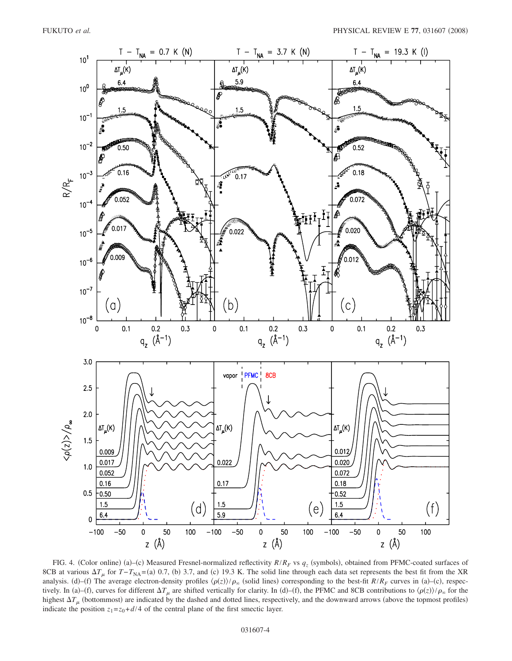<span id="page-3-0"></span>

FIG. 4. (Color online) (a)–(c) Measured Fresnel-normalized reflectivity  $R/R_F$  vs  $q_z$  (symbols), obtained from PFMC-coated surfaces of 8CB at various  $\Delta T_{\mu}$  for *T*−*T*<sub>NA</sub>=(a) 0.7, (b) 3.7, and (c) 19.3 K. The solid line through each data set represents the best fit from the XR analysis. (d)–(f) The average electron-density profiles  $\langle \rho(z) \rangle / \rho_{\infty}$  (solid lines) corresponding to the best-fit *R*/*R<sub>F</sub>* curves in (a)–(c), respectively. In (a)–(f), curves for different  $\Delta T_{\mu}$  are shifted vertically for clarity. In (d)–(f), the PFMC and 8CB contributions to  $\langle \rho(z) \rangle / \rho_{\infty}$  for the highest  $\Delta T_{\mu}$  (bottommost) are indicated by the dashed and dotted lines, respectively, and the downward arrows (above the topmost profiles) indicate the position  $z_1 = z_0 + d/4$  of the central plane of the first smectic layer.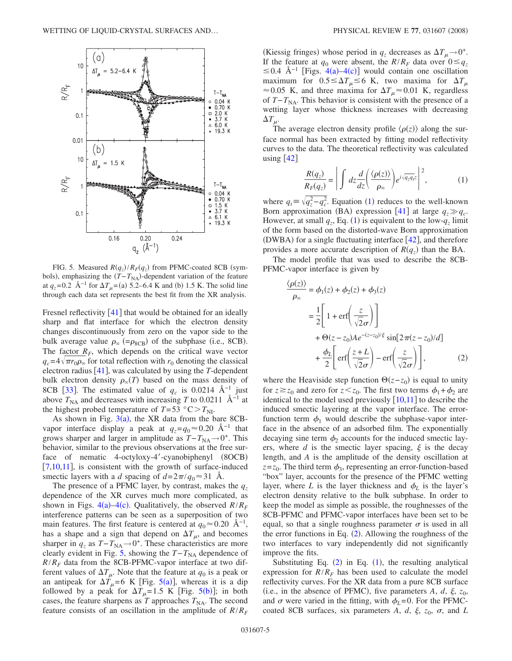<span id="page-4-0"></span>

FIG. 5. Measured  $R(q_z)/R_F(q_z)$  from PFMC-coated 8CB (symbols), emphasizing the  $(T - T_{NA})$ -dependent variation of the feature at  $q_z$ =0.2 Å<sup>-1</sup> for  $\Delta T_{\mu}$ =(a) 5.2–6.4 K and (b) 1.5 K. The solid line through each data set represents the best fit from the XR analysis.

Fresnel reflectivity  $\lceil 41 \rceil$  $\lceil 41 \rceil$  $\lceil 41 \rceil$  that would be obtained for an ideally sharp and flat interface for which the electron density changes discontinuously from zero on the vapor side to the bulk average value  $\rho_{\infty}$  (= $\rho_{8CB}$ ) of the subphase (i.e., 8CB). The factor  $R_F$ , which depends on the critical wave vector  $q_c = 4\sqrt{\pi r_0 \rho_\infty}$  for total reflection with  $r_0$  denoting the classical electron radius  $[41]$  $[41]$  $[41]$ , was calculated by using the *T*-dependent bulk electron density  $\rho_{\infty}(T)$  based on the mass density of 8CB [[33](#page-9-32)]. The estimated value of  $q_c$  is 0.0214 Å<sup>-1</sup> just above  $T_{NA}$  and decreases with increasing *T* to 0.0211 Å<sup>-1</sup> at the highest probed temperature of  $T = 53 \degree C > T_{\text{N}}$ .

As shown in Fig.  $3(a)$  $3(a)$ , the XR data from the bare 8CBvapor interface display a peak at  $q_z = q_0 \approx 0.20 \text{ Å}^{-1}$  that grows sharper and larger in amplitude as  $T-T_{NA}\rightarrow 0^+$ . This behavior, similar to the previous observations at the free surface of nematic 4-octyloxy-4'-cyanobiphenyl (8OCB)  $[7,10,11]$  $[7,10,11]$  $[7,10,11]$  $[7,10,11]$  $[7,10,11]$ , is consistent with the growth of surface-induced smectic layers with a *d* spacing of  $d=2\pi/q_0 \approx 31$  Å.

The presence of a PFMC layer, by contrast, makes the  $q_z$ dependence of the XR curves much more complicated, as shown in Figs.  $4(a) - 4(c)$  $4(a) - 4(c)$ . Qualitatively, the observed  $R/R_F$ interference patterns can be seen as a superposition of two main features. The first feature is centered at  $q_0 \approx 0.20 \text{ A}^{-1}$ , has a shape and a sign that depend on  $\Delta T_{\mu}$ , and becomes sharper in  $q_z$  as  $T-T_{NA}\rightarrow 0^+$ . These characteristics are more clearly evident in Fig. [5,](#page-4-0) showing the  $T-T_{NA}$  dependence of  $R/R_F$  data from the 8CB-PFMC-vapor interface at two different values of  $\Delta T_{\mu}$ . Note that the feature at  $q_0$  is a peak or an antipeak for  $\Delta T_{\mu} = 6$  K [Fig. [5](#page-4-0)(a)], whereas it is a dip followed by a peak for  $\Delta T_{\mu} = 1.5$  $\Delta T_{\mu} = 1.5$  K [Fig. 5(b)]; in both cases, the feature sharpens as  $T$  approaches  $T_{NA}$ . The second feature consists of an oscillation in the amplitude of  $R/R<sub>F</sub>$ 

(Kiessig fringes) whose period in  $q_z$  decreases as  $\Delta T_{\mu} \rightarrow 0^+$ . If the feature at  $q_0$  were absent, the  $R/R_F$  data over  $0 \leq q_z$  $\leq$  0.[4](#page-3-0) Å<sup>-1</sup> [Figs. 4(a)[–4](#page-3-0)(c)] would contain one oscillation maximum for  $0.5 \leq \Delta T_{\mu} \leq 6$  K, two maxima for  $\Delta T_{\mu}$  $\approx$  0.05 K, and three maxima for  $\Delta T_{\mu}$   $\approx$  0.01 K, regardless of *T*−*T*<sub>NA</sub>. This behavior is consistent with the presence of a wetting layer whose thickness increases with decreasing  $\Delta T_{\mu}$ .

The average electron density profile  $\langle \rho(z) \rangle$  along the surface normal has been extracted by fitting model reflectivity curves to the data. The theoretical reflectivity was calculated using  $|42|$  $|42|$  $|42|$ 

$$
\frac{R(q_z)}{R_F(q_z)} = \left| \int dz \frac{d}{dz} \left( \frac{\langle \rho(z) \rangle}{\rho_{\infty}} \right) e^{i\sqrt{q_z q_z z}} \right|^2, \tag{1}
$$

<span id="page-4-1"></span>where  $q_t = \sqrt{q_z^2 - q_c^2}$ . Equation ([1](#page-4-1)) reduces to the well-known Born approximation (BA) expression [[41](#page-9-31)] at large  $q_z \gg q_c$ . However, at small  $q_z$ , Eq. ([1](#page-4-1)) is equivalent to the low- $q_z$  limit of the form based on the distorted-wave Born approximation (DWBA) for a single fluctuating interface  $[42]$  $[42]$  $[42]$ , and therefore provides a more accurate description of  $R(q_z)$  than the BA.

<span id="page-4-2"></span>The model profile that was used to describe the 8CB-PFMC-vapor interface is given by

$$
\frac{\langle \rho(z) \rangle}{\rho_{\infty}} = \phi_1(z) + \phi_2(z) + \phi_3(z)
$$
  
=  $\frac{1}{2} \left[ 1 + \text{erf} \left( \frac{z}{\sqrt{2}\sigma} \right) \right]$   
+  $\Theta(z - z_0)Ae^{-(z - z_0)/\xi} \sin[2\pi(z - z_0)/d]$   
+  $\frac{\phi_L}{2} \left[ \text{erf} \left( \frac{z + L}{\sqrt{2}\sigma} \right) - \text{erf} \left( \frac{z}{\sqrt{2}\sigma} \right) \right],$  (2)

where the Heaviside step function  $\Theta(z-z_0)$  is equal to unity for  $z \ge z_0$  and zero for  $z \le z_0$ . The first two terms  $\phi_1 + \phi_2$  are identical to the model used previously  $[10,11]$  $[10,11]$  $[10,11]$  $[10,11]$  to describe the induced smectic layering at the vapor interface. The errorfunction term  $\phi_1$  would describe the subphase-vapor interface in the absence of an adsorbed film. The exponentially decaying sine term  $\phi_2$  accounts for the induced smectic layers, where  $d$  is the smectic layer spacing,  $\xi$  is the decay length, and *A* is the amplitude of the density oscillation at  $z=z_0$ . The third term  $\phi_3$ , representing an error-function-based "box" layer, accounts for the presence of the PFMC wetting layer, where *L* is the layer thickness and  $\phi_L$  is the layer's electron density relative to the bulk subphase. In order to keep the model as simple as possible, the roughnesses of the 8CB-PFMC and PFMC-vapor interfaces have been set to be equal, so that a single roughness parameter  $\sigma$  is used in all the error functions in Eq.  $(2)$  $(2)$  $(2)$ . Allowing the roughness of the two interfaces to vary independently did not significantly improve the fits.

Substituting Eq.  $(2)$  $(2)$  $(2)$  in Eq.  $(1)$  $(1)$  $(1)$ , the resulting analytical expression for  $R/R_F$  has been used to calculate the model reflectivity curves. For the XR data from a pure 8CB surface (i.e., in the absence of PFMC), five parameters  $A$ ,  $d$ ,  $\xi$ ,  $z_0$ , and  $\sigma$  were varied in the fitting, with  $\phi_L$ =0. For the PFMCcoated 8CB surfaces, six parameters *A*, *d*,  $\xi$ ,  $z_0$ ,  $\sigma$ , and *L*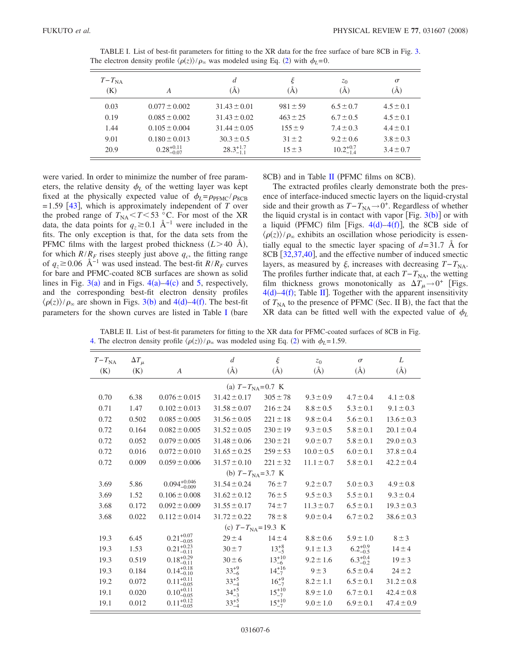| $T-T_{NA}$<br>(K) | A                      | $\overline{d}$<br>$\rm(\AA)$ | ξ<br>A)      | $z_0$<br>(A)         | $\sigma$<br>(A) |
|-------------------|------------------------|------------------------------|--------------|----------------------|-----------------|
| 0.03              | $0.077 \pm 0.002$      | $31.43 \pm 0.01$             | $981 \pm 59$ | $6.5 \pm 0.7$        | $4.5 \pm 0.1$   |
| 0.19              | $0.085 \pm 0.002$      | $31.43 \pm 0.02$             | $463 \pm 25$ | $6.7 \pm 0.5$        | $4.5 \pm 0.1$   |
| 1.44              | $0.105 \pm 0.004$      | $31.44 \pm 0.05$             | $155 \pm 9$  | $7.4 \pm 0.3$        | $4.4 \pm 0.1$   |
| 9.01              | $0.180 \pm 0.013$      | $30.3 \pm 0.5$               | $31 \pm 2$   | $9.2 \pm 0.6$        | $3.8 \pm 0.3$   |
| 20.9              | $0.28_{-0.07}^{+0.11}$ | $28.3^{+1.7}_{-1.1}$         | $15 \pm 3$   | $10.2^{+0.7}_{-1.4}$ | $3.4 \pm 0.7$   |

<span id="page-5-0"></span>TABLE I. List of best-fit parameters for fitting to the XR data for the free surface of bare 8CB in Fig. [3.](#page-2-1) The electron density profile  $\langle \rho(z) \rangle / \rho_{\infty}$  was modeled using Eq. ([2](#page-4-2)) with  $\phi_L = 0$ .

were varied. In order to minimize the number of free parameters, the relative density  $\phi_L$  of the wetting layer was kept fixed at the physically expected value of  $\phi_L = \rho_{\text{PFMC}} / \rho_{\text{8CB}}$  $= 1.59$  [[43](#page-9-34)], which is approximately independent of *T* over the probed range of  $T_{\text{NA}} < T < 53$  °C. For most of the XR data, the data points for  $q_z \geq 0.1$  Å<sup>-1</sup> were included in the fits. The only exception is that, for the data sets from the PFMC films with the largest probed thickness  $(L>40 \text{ Å})$ , for which  $R/R_F$  rises steeply just above  $q_c$ , the fitting range of  $q_z$ ≥0.06 Å<sup>−1</sup> was used instead. The best-fit *R*/*R<sub>F</sub>* curves for bare and PFMC-coated 8CB surfaces are shown as solid lines in Fig.  $3(a)$  $3(a)$  and in Figs.  $4(a)$  $4(a)$ -4(c) and [5,](#page-4-0) respectively, and the corresponding best-fit electron density profiles  $\langle \rho(z) \rangle / \rho_{\infty}$  are shown in Figs. [3](#page-2-1)(b) and [4](#page-3-0)(d)[–4](#page-3-0)(f). The best-fit parameters for the shown curves are listed in Table [I](#page-5-0) (bare

8CB) and in Table [II](#page-5-1) (PFMC films on 8CB).

The extracted profiles clearly demonstrate both the presence of interface-induced smectic layers on the liquid-crystal side and their growth as  $T-T_{NA} \rightarrow 0^+$ . Regardless of whether the liquid crystal is in contact with vapor  $[Fig. 3(b)]$  $[Fig. 3(b)]$  $[Fig. 3(b)]$  or with a liquid (PFMC) film [Figs.  $4(d) - 4(f)$  $4(d) - 4(f)$ ], the 8CB side of  $\langle \rho(z) \rangle / \rho_{\infty}$  exhibits an oscillation whose periodicity is essentially equal to the smectic layer spacing of  $d=31.7$  Å for 8CB [[32,](#page-9-28)[37,](#page-9-26)[40](#page-9-29)], and the effective number of induced smectic layers, as measured by  $\xi$ , increases with decreasing  $T-T_{NA}$ . The profiles further indicate that, at each  $T-T_{NA}$ , the wetting film thickness grows monotonically as  $\Delta T_{\mu} \rightarrow 0^+$  [Figs.  $4(d) - 4(f)$  $4(d) - 4(f)$ ; Table [II](#page-5-1)]. Together with the apparent insensitivity of  $T_{\text{NA}}$  to the presence of PFMC (Sec. II B), the fact that the XR data can be fitted well with the expected value of  $\phi_L$ 

<span id="page-5-1"></span>TABLE II. List of best-fit parameters for fitting to the XR data for PFMC-coated surfaces of 8CB in Fig. [4.](#page-3-0) The electron density profile  $\langle \rho(z) \rangle / \rho_{\infty}$  was modeled using Eq. ([2](#page-4-2)) with  $\phi_L$ =1.59.

| $T - T_{NA}$<br>(K)       | $\Delta T_{\mu}$<br>(K) | A                         | $\boldsymbol{d}$<br>$(\AA)$ | $\xi$<br>$(\AA)$ | $z_0$<br>$(\AA)$ | $\sigma$<br>$(\AA)$ | L<br>$(\AA)$   |  |  |  |  |
|---------------------------|-------------------------|---------------------------|-----------------------------|------------------|------------------|---------------------|----------------|--|--|--|--|
|                           |                         |                           |                             |                  |                  |                     |                |  |  |  |  |
| (a) $T - T_{NA} = 0.7$ K  |                         |                           |                             |                  |                  |                     |                |  |  |  |  |
| 0.70                      | 6.38                    | $0.076 \pm 0.015$         | $31.42 \pm 0.17$            | $305 \pm 78$     | $9.3 \pm 0.9$    | $4.7 \pm 0.4$       | $4.1 \pm 0.8$  |  |  |  |  |
| 0.71                      | 1.47                    | $0.102 \pm 0.013$         | $31.58 \pm 0.07$            | $216 \pm 24$     | $8.8 \pm 0.5$    | $5.3 \pm 0.1$       | $9.1 \pm 0.3$  |  |  |  |  |
| 0.72                      | 0.502                   | $0.085 \pm 0.005$         | $31.56 \pm 0.05$            | $221 \pm 18$     | $9.8 \pm 0.4$    | $5.6 \pm 0.1$       | $13.6 \pm 0.3$ |  |  |  |  |
| 0.72                      | 0.164                   | $0.082 \pm 0.005$         | $31.52 \pm 0.05$            | $230 \pm 19$     | $9.3 \pm 0.5$    | $5.8 \pm 0.1$       | $20.1 \pm 0.4$ |  |  |  |  |
| 0.72                      | 0.052                   | $0.079 \pm 0.005$         | $31.48 \pm 0.06$            | $230 \pm 21$     | $9.0 \pm 0.7$    | $5.8 \pm 0.1$       | $29.0 \pm 0.3$ |  |  |  |  |
| 0.72                      | 0.016                   | $0.072 \pm 0.010$         | $31.65 \pm 0.25$            | $259 \pm 53$     | $10.0 \pm 0.5$   | $6.0 \pm 0.1$       | $37.8 \pm 0.4$ |  |  |  |  |
| 0.72                      | 0.009                   | $0.059 \pm 0.006$         | $31.57 \pm 0.10$            | $221 \pm 32$     | $11.1 \pm 0.7$   | $5.8 \pm 0.1$       | $42.2 \pm 0.4$ |  |  |  |  |
| (b) $T - T_{NA} = 3.7$ K  |                         |                           |                             |                  |                  |                     |                |  |  |  |  |
| 3.69                      | 5.86                    | $0.094_{-0.009}^{+0.046}$ | $31.54 \pm 0.24$            | $76 \pm 7$       | $9.2 \pm 0.7$    | $5.0 \pm 0.3$       | $4.9 \pm 0.8$  |  |  |  |  |
| 3.69                      | 1.52                    | $0.106 \pm 0.008$         | $31.62 \pm 0.12$            | $76 \pm 5$       | $9.5 \pm 0.3$    | $5.5 \pm 0.1$       | $9.3 \pm 0.4$  |  |  |  |  |
| 3.68                      | 0.172                   | $0.092 \pm 0.009$         | $31.55 \pm 0.17$            | $74 + 7$         | $11.3 \pm 0.7$   | $6.5 \pm 0.1$       | $19.3 \pm 0.3$ |  |  |  |  |
| 3.68                      | 0.022                   | $0.112 \pm 0.014$         | $31.72 \pm 0.22$            | $78 \pm 8$       | $9.0 \pm 0.4$    | $6.7 \pm 0.2$       | $38.6 \pm 0.3$ |  |  |  |  |
| (c) $T - T_{NA} = 19.3$ K |                         |                           |                             |                  |                  |                     |                |  |  |  |  |
| 19.3                      | 6.45                    | $0.21^{+0.07}_{-0.05}$    | $29 \pm 4$                  | $14 \pm 4$       | $8.8 \pm 0.6$    | $5.9 \pm 1.0$       | $8 \pm 3$      |  |  |  |  |
| 19.3                      | 1.53                    | $0.21^{+0.23}_{-0.11}$    | $30 \pm 7$                  | $13^{+8}_{-5}$   | $9.1 \pm 1.3$    | $6.2^{+0.9}_{-0.5}$ | $14 \pm 4$     |  |  |  |  |
| 19.3                      | 0.519                   | $0.18_{-0.11}^{+0.29}$    | $30 \pm 6$                  | $13^{+10}_{-6}$  | $9.2 \pm 1.6$    | $6.3^{+0.4}_{-0.2}$ | $19 \pm 3$     |  |  |  |  |
| 19.3                      | 0.184                   | $0.14^{+0.18}_{-0.10}$    | $33^{+9}_{-6}$              | $14^{+16}_{-7}$  | $9 \pm 3$        | $6.5 \pm 0.4$       | $24 \pm 2$     |  |  |  |  |
| 19.2                      | 0.072                   | $0.11^{+0.11}_{-0.05}$    | $33^{+5}_{-4}$              | $16^{+9}_{-7}$   | $8.2 \pm 1.1$    | $6.5 \pm 0.1$       | $31.2 \pm 0.8$ |  |  |  |  |
| 19.1                      | 0.020                   | $0.10^{+0.11}_{-0.05}$    | $34^{+5}_{-3}$              | $15^{+10}_{-7}$  | $8.9 \pm 1.0$    | $6.7 \pm 0.1$       | $42.4 \pm 0.8$ |  |  |  |  |
| 19.1                      | 0.012                   | $0.11^{+0.12}_{-0.05}$    | $33^{+5}_{-4}$              | $15^{+10}_{-7}$  | $9.0 \pm 1.0$    | $6.9 \pm 0.1$       | $47.4 \pm 0.9$ |  |  |  |  |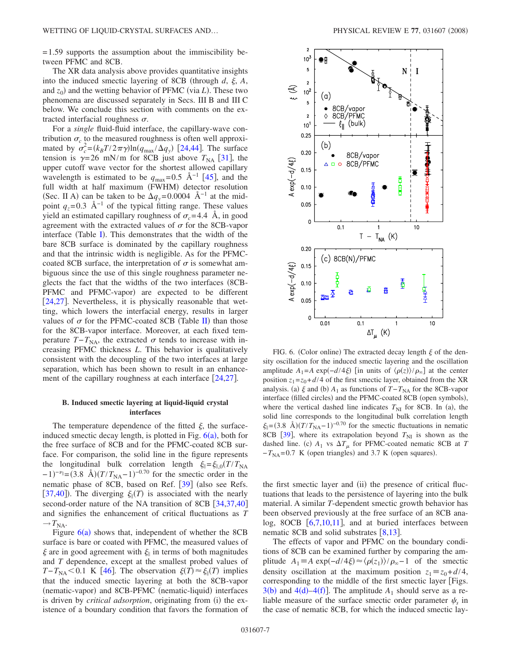= 1.59 supports the assumption about the immiscibility between PFMC and 8CB.

The XR data analysis above provides quantitative insights into the induced smectic layering of 8CB (through  $d$ ,  $\xi$ ,  $A$ , and  $z_0$ ) and the wetting behavior of PFMC (via *L*). These two phenomena are discussed separately in Secs. III B and III C below. We conclude this section with comments on the extracted interfacial roughness  $\sigma$ .

For a *single* fluid-fluid interface, the capillary-wave contribution  $\sigma_c$  to the measured roughness is often well approximated by  $\sigma_c^2 = (k_B T / 2 \pi \gamma) \ln(q_{\text{max}} / \Delta q_y)$  [[24,](#page-9-15)[44](#page-9-35)]. The surface tension is  $\gamma = 26$  mN/m for 8CB just above  $T_{NA}$  [[31](#page-9-24)], the upper cutoff wave vector for the shortest allowed capillary wavelength is estimated to be  $q_{\text{max}}$ =0.5 Å<sup>-1</sup> [[45](#page-9-36)], and the full width at half maximum (FWHM) detector resolution (Sec. II A) can be taken to be  $\Delta q_y$ = 0.0004 Å<sup>-1</sup> at the midpoint  $q_z$ =0.3 Å<sup>-1</sup> of the typical fitting range. These values yield an estimated capillary roughness of  $\sigma_c$ =4.4 Å, in good agreement with the extracted values of  $\sigma$  for the 8CB-vapor interface (Table [I](#page-5-0)). This demonstrates that the width of the bare 8CB surface is dominated by the capillary roughness and that the intrinsic width is negligible. As for the PFMCcoated 8CB surface, the interpretation of  $\sigma$  is somewhat ambiguous since the use of this single roughness parameter neglects the fact that the widths of the two interfaces (8CB-PFMC and PFMC-vapor) are expected to be different [[24](#page-9-15)[,27](#page-9-37)]. Nevertheless, it is physically reasonable that wetting, which lowers the interfacial energy, results in larger values of  $\sigma$  for the PFMC-coated 8CB (Table [II](#page-5-1)) than those for the 8CB-vapor interface. Moreover, at each fixed temperature  $T-T_{NA}$ , the extracted  $\sigma$  tends to increase with increasing PFMC thickness *L*. This behavior is qualitatively consistent with the decoupling of the two interfaces at large separation, which has been shown to result in an enhancement of the capillary roughness at each interface  $\lceil 24, 27 \rceil$  $\lceil 24, 27 \rceil$  $\lceil 24, 27 \rceil$  $\lceil 24, 27 \rceil$  $\lceil 24, 27 \rceil$ .

## **B. Induced smectic layering at liquid-liquid crystal interfaces**

The temperature dependence of the fitted  $\xi$ , the surfaceinduced smectic decay length, is plotted in Fig.  $6(a)$  $6(a)$ , both for the free surface of 8CB and for the PFMC-coated 8CB surface. For comparison, the solid line in the figure represents the longitudinal bulk correlation length  $\xi_{\parallel} = \xi_{\parallel,0}(T/T_{\text{NA}})$  $(-1)^{-\nu_{\parallel}} = (3.8 \text{ \AA})(T/T_{\text{NA}} - 1)^{-0.70}$  for the smectic order in the nematic phase of 8CB, based on Ref.  $\left[39\right]$  $\left[39\right]$  $\left[39\right]$  (also see Refs. [[37](#page-9-26)[,40](#page-9-29)]). The diverging  $\xi_{\parallel}(T)$  is associated with the nearly second-order nature of the NA transition of 8CB  $[34,37,40]$  $[34,37,40]$  $[34,37,40]$  $[34,37,40]$  $[34,37,40]$ and signifies the enhancement of critical fluctuations as *T*  $\rightarrow T_{\text{NA}}$ .

Figure  $6(a)$  $6(a)$  shows that, independent of whether the 8CB surface is bare or coated with PFMC, the measured values of  $\xi$  are in good agreement with  $\xi$  in terms of both magnitudes and *T* dependence, except at the smallest probed values of  $T - T_{NA} < 0.1$  K [[46](#page-10-0)]. The observation  $\xi(T) \approx \xi_{\parallel}(T)$  implies that the induced smectic layering at both the 8CB-vapor (nematic-vapor) and 8CB-PFMC (nematic-liquid) interfaces is driven by *critical adsorption*, originating from (i) the existence of a boundary condition that favors the formation of

<span id="page-6-0"></span>

FIG. 6. (Color online) The extracted decay length  $\xi$  of the density oscillation for the induced smectic layering and the oscillation amplitude  $A_1 = A \exp(-d/4\xi)$  [in units of  $\langle \rho(z) \rangle / \rho_{\infty}$ ] at the center position  $z_1 = z_0 + d/4$  of the first smectic layer, obtained from the XR analysis. (a)  $\xi$  and (b)  $A_1$  as functions of  $T-T_{NA}$  for the 8CB-vapor interface (filled circles) and the PFMC-coated 8CB (open symbols), where the vertical dashed line indicates  $T_{\text{NI}}$  for 8CB. In (a), the solid line corresponds to the longitudinal bulk correlation length  $\xi_{\parallel} = (3.8 \text{ Å})(T/T_{\text{NA}}-1)^{-0.70}$  for the smectic fluctuations in nematic 8CB  $[39]$  $[39]$  $[39]$ , where its extrapolation beyond  $T_{\text{NI}}$  is shown as the dashed line. (c)  $A_1$  vs  $\Delta T_\mu$  for PFMC-coated nematic 8CB at *T*  $-T_{NA} = 0.7$  K (open triangles) and 3.7 K (open squares).

the first smectic layer and (ii) the presence of critical fluctuations that leads to the persistence of layering into the bulk material. A similar *T*-dependent smectic growth behavior has been observed previously at the free surface of an 8CB analog, 8OCB  $[6,7,10,11]$  $[6,7,10,11]$  $[6,7,10,11]$  $[6,7,10,11]$  $[6,7,10,11]$  $[6,7,10,11]$ , and at buried interfaces between nematic [8](#page-9-39)CB and solid substrates  $[8,13]$  $[8,13]$  $[8,13]$ .

The effects of vapor and PFMC on the boundary conditions of 8CB can be examined further by comparing the amplitude  $A_1 = A \exp(-\frac{d}{4\zeta}) \approx \frac{\rho(z_1)}{\rho_{\infty} - 1}$  of the smectic density oscillation at the maximum position  $z_1 \equiv z_0 + d/4$ , corresponding to the middle of the first smectic layer Figs.  $3(b)$  $3(b)$  and  $4(d)$  $4(d)$ – $4(f)$ ]. The amplitude  $A_1$  should serve as a reliable measure of the surface smectic order parameter  $\psi_s$  in the case of nematic 8CB, for which the induced smectic lay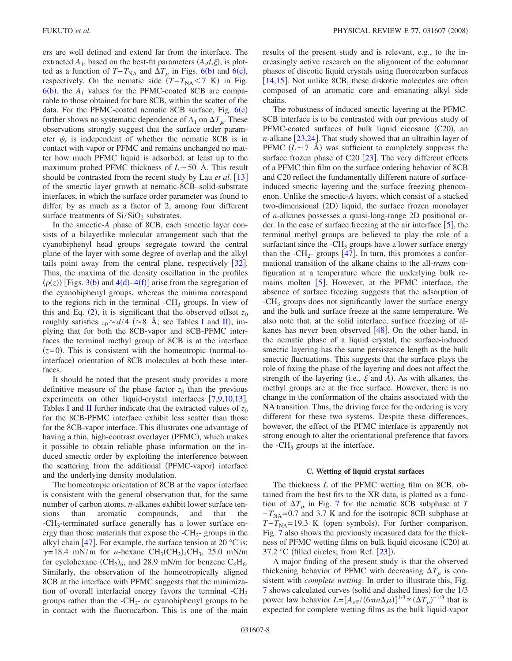ers are well defined and extend far from the interface. The extracted  $A_1$ , based on the best-fit parameters  $(A,d,\xi)$ , is plotted as a function of  $T - T_{NA}$  and  $\Delta T_{\mu}$  in Figs. [6](#page-6-0)(b) and 6(c), respectively. On the nematic side  $(T - T_{NA} < 7 K)$  in Fig.  $6(b)$  $6(b)$ , the  $A_1$  values for the PFMC-coated 8CB are comparable to those obtained for bare 8CB, within the scatter of the data. For the PFMC-coated nematic 8CB surface, Fig. [6](#page-6-0)(c) further shows no systematic dependence of  $A_1$  on  $\Delta T_{\mu}$ . These observations strongly suggest that the surface order parameter  $\psi_s$  is independent of whether the nematic 8CB is in contact with vapor or PFMC and remains unchanged no matter how much PFMC liquid is adsorbed, at least up to the maximum probed PFMC thickness of  $L \sim 50$  Å. This result should be contrasted from the recent study by Lau *et al.* [[13](#page-9-4)] of the smectic layer growth at nematic-8CB–solid-substrate interfaces, in which the surface order parameter was found to differ, by as much as a factor of 2, among four different surface treatments of  $Si/SiO<sub>2</sub>$  substrates.

In the smectic-*A* phase of 8CB, each smectic layer consists of a bilayerlike molecular arrangement such that the cyanobiphenyl head groups segregate toward the central plane of the layer with some degree of overlap and the alkyl tails point away from the central plane, respectively  $[32]$  $[32]$  $[32]$ . Thus, the maxima of the density oscillation in the profiles  $\langle \rho(z) \rangle$  [Figs. [3](#page-2-1)(b) and [4](#page-3-0)(d)[–4](#page-3-0)(f)] arise from the segregation of the cyanobiphenyl groups, whereas the minima correspond to the regions rich in the terminal  $-CH<sub>3</sub>$  groups. In view of this and Eq.  $(2)$  $(2)$  $(2)$ , it is significant that the observed offset  $z_0$ roughly satisfies  $z_0 \approx d/4$  ( $\approx 8$  Å; see Tables [I](#page-5-0) and [II](#page-5-1)), implying that for both the 8CB-vapor and 8CB-PFMC interfaces the terminal methyl group of 8CB is at the interface  $(z=0)$ . This is consistent with the homeotropic (normal-tointerface) orientation of 8CB molecules at both these interfaces.

It should be noted that the present study provides a more definitive measure of the phase factor  $z_0$  than the previous experiments on other liquid-crystal interfaces  $[7,9,10,13]$  $[7,9,10,13]$  $[7,9,10,13]$  $[7,9,10,13]$  $[7,9,10,13]$  $[7,9,10,13]$ . Tables [I](#page-5-0) and [II](#page-5-1) further indicate that the extracted values of  $z_0$ for the 8CB-PFMC interface exhibit less scatter than those for the 8CB-vapor interface. This illustrates one advantage of having a thin, high-contrast overlayer (PFMC), which makes it possible to obtain reliable phase information on the induced smectic order by exploiting the interference between the scattering from the additional (PFMC-vapor) interface and the underlying density modulation.

The homeotropic orientation of 8CB at the vapor interface is consistent with the general observation that, for the same number of carbon atoms, *n*-alkanes exhibit lower surface tensions than aromatic compounds, and that the -CH3-terminated surface generally has a lower surface energy than those materials that expose the  $-CH<sub>2</sub>$ - groups in the alkyl chain [[47](#page-10-1)]. For example, the surface tension at 20  $^{\circ}$ C is:  $\gamma = 18.4$  mN/m for *n*-hexane CH<sub>3</sub>(CH<sub>2</sub>)<sub>4</sub>CH<sub>3</sub>, 25.0 mN/m for cyclohexane  $(CH_2)_6$ , and 28.9 mN/m for benzene  $C_6H_6$ . Similarly, the observation of the homeotropically aligned 8CB at the interface with PFMC suggests that the minimization of overall interfacial energy favors the terminal -CH3 groups rather than the  $-CH_{2}$ - or cyanobiphenyl groups to be in contact with the fluorocarbon. This is one of the main results of the present study and is relevant, e.g., to the increasingly active research on the alignment of the columnar phases of discotic liquid crystals using fluorocarbon surfaces [ $14,15$  $14,15$ ]. Not unlike 8CB, these diskotic molecules are often composed of an aromatic core and emanating alkyl side chains.

The robustness of induced smectic layering at the PFMC-8CB interface is to be contrasted with our previous study of PFMC-coated surfaces of bulk liquid eicosane (C20), an *n*-alkane  $\left[23,24\right]$  $\left[23,24\right]$  $\left[23,24\right]$  $\left[23,24\right]$ . That study showed that an ultrathin layer of PFMC  $(L \sim 7 \text{ Å})$  was sufficient to completely suppress the surface frozen phase of C20  $\left|23\right|$  $\left|23\right|$  $\left|23\right|$ . The very different effects of a PFMC thin film on the surface ordering behavior of 8CB and C20 reflect the fundamentally different nature of surfaceinduced smectic layering and the surface freezing phenomenon. Unlike the smectic-*A* layers, which consist of a stacked two-dimensional (2D) liquid, the surface frozen monolayer of *n*-alkanes possesses a quasi-long-range 2D positional order. In the case of surface freezing at the air interface  $[5]$  $[5]$  $[5]$ , the terminal methyl groups are believed to play the role of a surfactant since the  $-CH_3$  groups have a lower surface energy than the -CH<sub>2</sub>- groups  $[47]$  $[47]$  $[47]$ . In turn, this promotes a conformational transition of the alkane chains to the all-*trans* configuration at a temperature where the underlying bulk remains molten  $[5]$  $[5]$  $[5]$ . However, at the PFMC interface, the absence of surface freezing suggests that the adsorption of -CH<sub>3</sub> groups does not significantly lower the surface energy and the bulk and surface freeze at the same temperature. We also note that, at the solid interface, surface freezing of alkanes has never been observed  $[48]$  $[48]$  $[48]$ . On the other hand, in the nematic phase of a liquid crystal, the surface-induced smectic layering has the same persistence length as the bulk smectic fluctuations. This suggests that the surface plays the role of fixing the phase of the layering and does not affect the strength of the layering (i.e.,  $\xi$  and  $A$ ). As with alkanes, the methyl groups are at the free surface. However, there is no change in the conformation of the chains associated with the NA transition. Thus, the driving force for the ordering is very different for these two systems. Despite these differences, however, the effect of the PFMC interface is apparently not strong enough to alter the orientational preference that favors the  $-CH_3$  groups at the interface.

#### **C. Wetting of liquid crystal surfaces**

The thickness *L* of the PFMC wetting film on 8CB, obtained from the best fits to the XR data, is plotted as a function of  $\Delta T_{\mu}$  in Fig. [7](#page-8-0) for the nematic 8CB subphase at *T*  $-T_{NA}=0.7$  and 3.7 K and for the isotropic 8CB subphase at  $T - T_{NA} = 19.3$  K (open symbols). For further comparison, Fig. [7](#page-8-0) also shows the previously measured data for the thickness of PFMC wetting films on bulk liquid eicosane (C20) at 37.2 °C (filled circles; from Ref.  $[23]$  $[23]$  $[23]$ ).

A major finding of the present study is that the observed thickening behavior of PFMC with decreasing  $\Delta T_{\mu}$  is consistent with *complete wetting*. In order to illustrate this, Fig. [7](#page-8-0) shows calculated curves (solid and dashed lines) for the 1/3 power law behavior  $L = [A_{\text{eff}} / (6 \pi n \Delta \mu)]^{1/3} \propto (\Delta T_{\mu})^{-1/3}$  that is expected for complete wetting films as the bulk liquid-vapor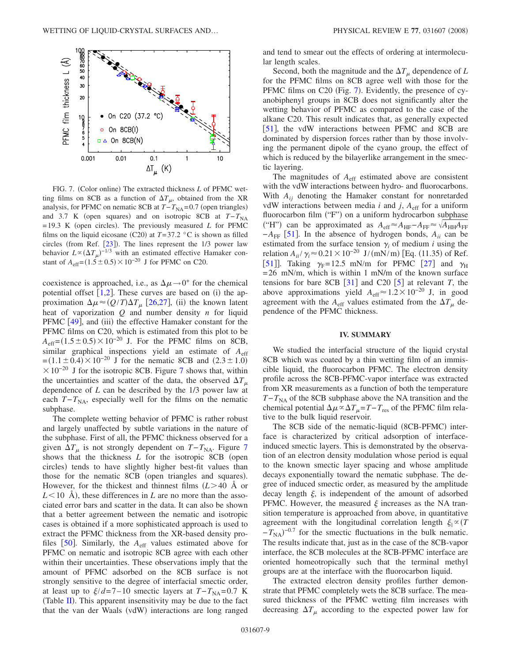<span id="page-8-0"></span>

FIG. 7. (Color online) The extracted thickness *L* of PFMC wetting films on 8CB as a function of  $\Delta T_{\mu}$ , obtained from the XR analysis, for PFMC on nematic 8CB at *T*−*T*<sub>NA</sub>=0.7 (open triangles) and 3.7 K (open squares) and on isotropic 8CB at  $T-T_{NA}$  $= 19.3$  K (open circles). The previously measured *L* for PFMC films on the liquid eicosane (C20) at  $T=37.2$  °C is shown as filled circles (from Ref.  $[23]$  $[23]$  $[23]$ ). The lines represent the  $1/3$  power law behavior  $L \propto (\Delta T_{\mu})^{-1/3}$  with an estimated effective Hamaker constant of  $A_{\text{eff}} = (1.5 \pm 0.5) \times 10^{-20}$  J for PFMC on C20.

coexistence is approached, i.e., as  $\Delta \mu \rightarrow 0^+$  for the chemical potential offset  $[1,2]$  $[1,2]$  $[1,2]$  $[1,2]$ . These curves are based on (i) the approximation  $\Delta \mu \approx (Q/T) \Delta T_{\mu}$  [[26](#page-9-20)[,27](#page-9-37)], (ii) the known latent heat of vaporization *Q* and number density *n* for liquid PFMC [[49](#page-10-3)], and (iii) the effective Hamaker constant for the PFMC films on C20, which is estimated from this plot to be  $A_{\text{eff}} = (1.5 \pm 0.5) \times 10^{-20}$  J. For the PFMC films on 8CB, similar graphical inspections yield an estimate of *A*eff  $=(1.1 \pm 0.4) \times 10^{-20}$  J for the nematic 8CB and  $(2.3 \pm 1.0)$  $\times 10^{-20}$  J for the isotropic 8CB. Figure [7](#page-8-0) shows that, within the uncertainties and scatter of the data, the observed  $\Delta T_{\mu}$  dependence of *L* can be described by the 1/3 power law at each  $T-T_{NA}$ , especially well for the films on the nematic subphase.

The complete wetting behavior of PFMC is rather robust and largely unaffected by subtle variations in the nature of the subphase. First of all, the PFMC thickness observed for a given  $\Delta T_{\mu}$  is not strongly dependent on *T*−*T*<sub>NA</sub>. Figure [7](#page-8-0) shows that the thickness *L* for the isotropic 8CB (open circles) tends to have slightly higher best-fit values than those for the nematic 8CB (open triangles and squares). However, for the thickest and thinnest films  $(L>40$  Å or  $L$ <10 Å), these differences in *L* are no more than the associated error bars and scatter in the data. It can also be shown that a better agreement between the nematic and isotropic cases is obtained if a more sophisticated approach is used to extract the PFMC thickness from the XR-based density profiles  $[50]$  $[50]$  $[50]$ . Similarly, the  $A_{\text{eff}}$  values estimated above for PFMC on nematic and isotropic 8CB agree with each other within their uncertainties. These observations imply that the amount of PFMC adsorbed on the 8CB surface is not strongly sensitive to the degree of interfacial smectic order, at least up to  $\zeta/d = 7 - 10$  smectic layers at  $T - T_{NA} = 0.7$  K (Table  $II$ ). This apparent insensitivity may be due to the fact that the van der Waals (vdW) interactions are long ranged

and tend to smear out the effects of ordering at intermolecular length scales.

Second, both the magnitude and the  $\Delta T_{\mu}$  dependence of *L* for the PFMC films on 8CB agree well with those for the PFMC films on C20 (Fig. [7](#page-8-0)). Evidently, the presence of cyanobiphenyl groups in 8CB does not significantly alter the wetting behavior of PFMC as compared to the case of the alkane C20. This result indicates that, as generally expected [[51](#page-10-5)], the vdW interactions between PFMC and 8CB are dominated by dispersion forces rather than by those involving the permanent dipole of the cyano group, the effect of which is reduced by the bilayerlike arrangement in the smectic layering.

The magnitudes of *A*eff estimated above are consistent with the vdW interactions between hydro- and fluorocarbons. With  $A_{ii}$  denoting the Hamaker constant for nonretarded vdW interactions between media  $i$  and  $j$ ,  $A_{\text{eff}}$  for a uniform fluorocarbon film ("F") on a uniform hydrocarbon subphase  $H^*(H^*)$  can be approximated as  $A_{eff} \approx A_{HF} - A_{FF} \approx \sqrt{A_{HH}A_{FF}}$  $-A_{\text{FF}}$  [[51](#page-10-5)]. In the absence of hydrogen bonds,  $A_{ii}$  can be estimated from the surface tension  $\gamma_i$  of medium *i* using the relation  $A_{ii}/\gamma_i$  ≈ 0.21 × 10<sup>-20</sup> J/(mN/m) [Eq. (11.35) of Ref. [[51](#page-10-5)]. Taking  $\gamma_F$ = 12.5 mN/m for PFMC [[27](#page-9-37)] and  $\gamma_H$  $= 26$  mN/m, which is within 1 mN/m of the known surface tensions for bare 8CB  $[31]$  $[31]$  $[31]$  and C20  $[5]$  $[5]$  $[5]$  at relevant *T*, the above approximations yield  $A_{\text{eff}} \approx 1.2 \times 10^{-20}$  J, in good agreement with the  $A_{\text{eff}}$  values estimated from the  $\Delta T_{\mu}$  dependence of the PFMC thickness.

### **IV. SUMMARY**

We studied the interfacial structure of the liquid crystal 8CB which was coated by a thin wetting film of an immiscible liquid, the fluorocarbon PFMC. The electron density profile across the 8CB-PFMC-vapor interface was extracted from XR measurements as a function of both the temperature  $T-T_{NA}$  of the 8CB subphase above the NA transition and the chemical potential  $\Delta \mu \propto \Delta T_{\mu} = T - T_{\text{res}}$  of the PFMC film relative to the bulk liquid reservoir.

The 8CB side of the nematic-liquid (8CB-PFMC) interface is characterized by critical adsorption of interfaceinduced smectic layers. This is demonstrated by the observation of an electron density modulation whose period is equal to the known smectic layer spacing and whose amplitude decays exponentially toward the nematic subphase. The degree of induced smectic order, as measured by the amplitude decay length  $\xi$ , is independent of the amount of adsorbed PFMC. However, the measured  $\xi$  increases as the NA transition temperature is approached from above, in quantitative agreement with the longitudinal correlation length  $\xi_{\parallel} \propto (T)$  $-T_{\text{NA}}$ )<sup>-0.7</sup> for the smectic fluctuations in the bulk nematic. The results indicate that, just as in the case of the 8CB-vapor interface, the 8CB molecules at the 8CB-PFMC interface are oriented homeotropically such that the terminal methyl groups are at the interface with the fluorocarbon liquid.

The extracted electron density profiles further demonstrate that PFMC completely wets the 8CB surface. The measured thickness of the PFMC wetting film increases with decreasing  $\Delta T_{\mu}$  according to the expected power law for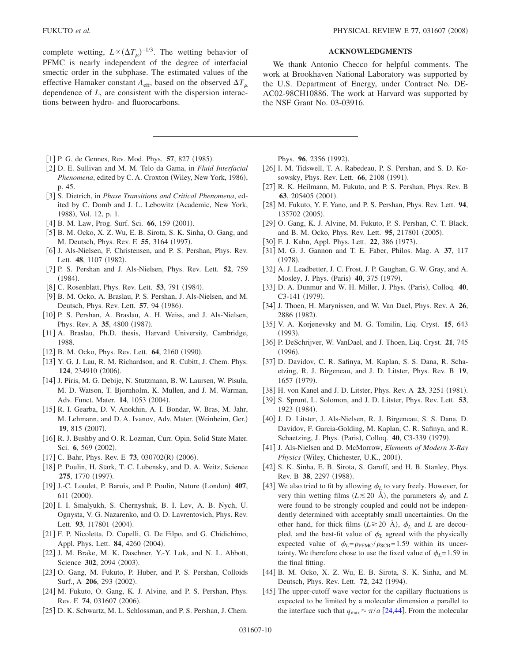complete wetting,  $L \propto (\Delta T_{\mu})^{-1/3}$ . The wetting behavior of PFMC is nearly independent of the degree of interfacial smectic order in the subphase. The estimated values of the effective Hamaker constant  $A_{\text{eff}}$ , based on the observed  $\Delta T_{\mu}$  dependence of *L*, are consistent with the dispersion interactions between hydro- and fluorocarbons.

## **ACKNOWLEDGMENTS**

We thank Antonio Checco for helpful comments. The work at Brookhaven National Laboratory was supported by the U.S. Department of Energy, under Contract No. DE-AC02-98CH10886. The work at Harvard was supported by the NSF Grant No. 03-03916.

- <span id="page-9-0"></span>[1] P. G. de Gennes, Rev. Mod. Phys. 57, 827 (1985).
- <span id="page-9-40"></span>2 D. E. Sullivan and M. M. Telo da Gama, in *Fluid Interfacial* Phenomena, edited by C. A. Croxton (Wiley, New York, 1986), p. 45.
- 3 S. Dietrich, in *Phase Transitions and Critical Phenomena*, edited by C. Domb and J. L. Lebowitz (Academic, New York, 1988), Vol. 12, p. 1.
- <span id="page-9-1"></span>[4] B. M. Law, Prog. Surf. Sci. 66, 159 (2001).
- <span id="page-9-2"></span>5 B. M. Ocko, X. Z. Wu, E. B. Sirota, S. K. Sinha, O. Gang, and M. Deutsch, Phys. Rev. E 55, 3164 (1997).
- <span id="page-9-3"></span>[6] J. Als-Nielsen, F. Christensen, and P. S. Pershan, Phys. Rev. Lett. 48, 1107 (1982).
- <span id="page-9-16"></span>7 P. S. Pershan and J. Als-Nielsen, Phys. Rev. Lett. **52**, 759  $(1984).$
- <span id="page-9-39"></span>[8] C. Rosenblatt, Phys. Rev. Lett. **53**, 791 (1984).
- <span id="page-9-17"></span>9 B. M. Ocko, A. Braslau, P. S. Pershan, J. Als-Nielsen, and M. Deutsch, Phys. Rev. Lett. 57, 94 (1986).
- <span id="page-9-18"></span>[10] P. S. Pershan, A. Braslau, A. H. Weiss, and J. Als-Nielsen, Phys. Rev. A 35, 4800 (1987).
- <span id="page-9-22"></span>[11] A. Braslau, Ph.D. thesis, Harvard University, Cambridge, 1988.
- [12] B. M. Ocko, Phys. Rev. Lett. **64**, 2160 (1990).
- <span id="page-9-4"></span>[13] Y. G. J. Lau, R. M. Richardson, and R. Cubitt, J. Chem. Phys. 124, 234910 (2006).
- <span id="page-9-5"></span>14 J. Piris, M. G. Debije, N. Stutzmann, B. W. Laursen, W. Pisula, M. D. Watson, T. Bjornholm, K. Mullen, and J. M. Warman, Adv. Funct. Mater. **14**, 1053 (2004).
- <span id="page-9-6"></span>15 R. I. Gearba, D. V. Anokhin, A. I. Bondar, W. Bras, M. Jahr, M. Lehmann, and D. A. Ivanov, Adv. Mater. (Weinheim, Ger.) 19, 815 (2007).
- <span id="page-9-7"></span>[16] R. J. Bushby and O. R. Lozman, Curr. Opin. Solid State Mater. Sci. 6, 569 (2002).
- <span id="page-9-8"></span>[17] C. Bahr, Phys. Rev. E  $73$ , 030702(R) (2006).
- <span id="page-9-9"></span>[18] P. Poulin, H. Stark, T. C. Lubensky, and D. A. Weitz, Science **275**, 1770 (1997).
- <span id="page-9-10"></span>[19] J.-C. Loudet, P. Barois, and P. Poulin, Nature (London) 407, 611 (2000).
- <span id="page-9-11"></span>20 I. I. Smalyukh, S. Chernyshuk, B. I. Lev, A. B. Nych, U. Ognysta, V. G. Nazarenko, and O. D. Lavrentovich, Phys. Rev. Lett. 93, 117801 (2004).
- <span id="page-9-12"></span>21 F. P. Nicoletta, D. Cupelli, G. De Filpo, and G. Chidichimo, Appl. Phys. Lett. **84**, 4260 (2004).
- <span id="page-9-13"></span>[22] J. M. Brake, M. K. Daschner, Y.-Y. Luk, and N. L. Abbott, Science 302, 2094 (2003).
- <span id="page-9-14"></span>[23] O. Gang, M. Fukuto, P. Huber, and P. S. Pershan, Colloids Surf., A 206, 293 (2002).
- <span id="page-9-15"></span>[24] M. Fukuto, O. Gang, K. J. Alvine, and P. S. Pershan, Phys. Rev. E 74, 031607 (2006).
- <span id="page-9-19"></span>[25] D. K. Schwartz, M. L. Schlossman, and P. S. Pershan, J. Chem.

Phys. 96, 2356 (1992).

- <span id="page-9-20"></span>[26] I. M. Tidswell, T. A. Rabedeau, P. S. Pershan, and S. D. Kosowsky, Phys. Rev. Lett. **66**, 2108 (1991).
- <span id="page-9-37"></span>[27] R. K. Heilmann, M. Fukuto, and P. S. Pershan, Phys. Rev. B 63, 205405 (2001).
- 28 M. Fukuto, Y. F. Yano, and P. S. Pershan, Phys. Rev. Lett. **94**, 135702 (2005).
- <span id="page-9-21"></span>[29] O. Gang, K. J. Alvine, M. Fukuto, P. S. Pershan, C. T. Black, and B. M. Ocko, Phys. Rev. Lett. 95, 217801 (2005).
- <span id="page-9-23"></span>[30] F. J. Kahn, Appl. Phys. Lett. 22, 386 (1973).
- <span id="page-9-24"></span>31 M. G. J. Gannon and T. E. Faber, Philos. Mag. A **37**, 117  $(1978).$
- <span id="page-9-28"></span>[32] A. J. Leadbetter, J. C. Frost, J. P. Gaughan, G. W. Gray, and A. Mosley, J. Phys. (Paris) 40, 375 (1979).
- <span id="page-9-32"></span>[33] D. A. Dunmur and W. H. Miller, J. Phys. (Paris), Colloq. 40, C3-141 (1979).
- <span id="page-9-38"></span>34 J. Thoen, H. Marynissen, and W. Van Dael, Phys. Rev. A **26**, 2886 (1982).
- <span id="page-9-30"></span>35 V. A. Korjenevsky and M. G. Tomilin, Liq. Cryst. **15**, 643  $(1993).$
- <span id="page-9-25"></span>36 P. DeSchrijver, W. VanDael, and J. Thoen, Liq. Cryst. **21**, 745  $(1996).$
- <span id="page-9-26"></span>[37] D. Davidov, C. R. Safinya, M. Kaplan, S. S. Dana, R. Schaetzing, R. J. Birgeneau, and J. D. Litster, Phys. Rev. B **19**, 1657 (1979).
- [38] H. von Kanel and J. D. Litster, Phys. Rev. A 23, 3251 (1981).
- <span id="page-9-27"></span>39 S. Sprunt, L. Solomon, and J. D. Litster, Phys. Rev. Lett. **53**, 1923 (1984).
- <span id="page-9-29"></span>[40] J. D. Litster, J. Als-Nielsen, R. J. Birgeneau, S. S. Dana, D. Davidov, F. Garcia-Golding, M. Kaplan, C. R. Safinya, and R. Schaetzing, J. Phys. (Paris), Colloq. **40**, C3-339 (1979).
- <span id="page-9-31"></span>41 J. Als-Nielsen and D. McMorrow, *Elements of Modern X-Ray* Physics (Wiley, Chichester, U.K., 2001).
- <span id="page-9-33"></span>[42] S. K. Sinha, E. B. Sirota, S. Garoff, and H. B. Stanley, Phys. Rev. B 38, 2297 (1988).
- <span id="page-9-34"></span>[43] We also tried to fit by allowing  $\phi_L$  to vary freely. However, for very thin wetting films ( $L \le 20$  Å), the parameters  $\phi_L$  and  $L$ were found to be strongly coupled and could not be independently determined with acceptably small uncertainties. On the other hand, for thick films  $(L \ge 20 \text{ Å})$ ,  $\phi_L$  and *L* are decoupled, and the best-fit value of  $\phi_L$  agreed with the physically expected value of  $\phi_L = \rho_{\text{PFMC}} / \rho_{\text{8CB}} = 1.59$  within its uncertainty. We therefore chose to use the fixed value of  $\phi_L$ = 1.59 in the final fitting.
- <span id="page-9-35"></span>[44] B. M. Ocko, X. Z. Wu, E. B. Sirota, S. K. Sinha, and M. Deutsch, Phys. Rev. Lett. **72**, 242 (1994).
- <span id="page-9-36"></span>[45] The upper-cutoff wave vector for the capillary fluctuations is expected to be limited by a molecular dimension *a* parallel to the interface such that  $q_{\text{max}} \approx \pi/a$  [[24,](#page-9-15)[44](#page-9-35)]. From the molecular